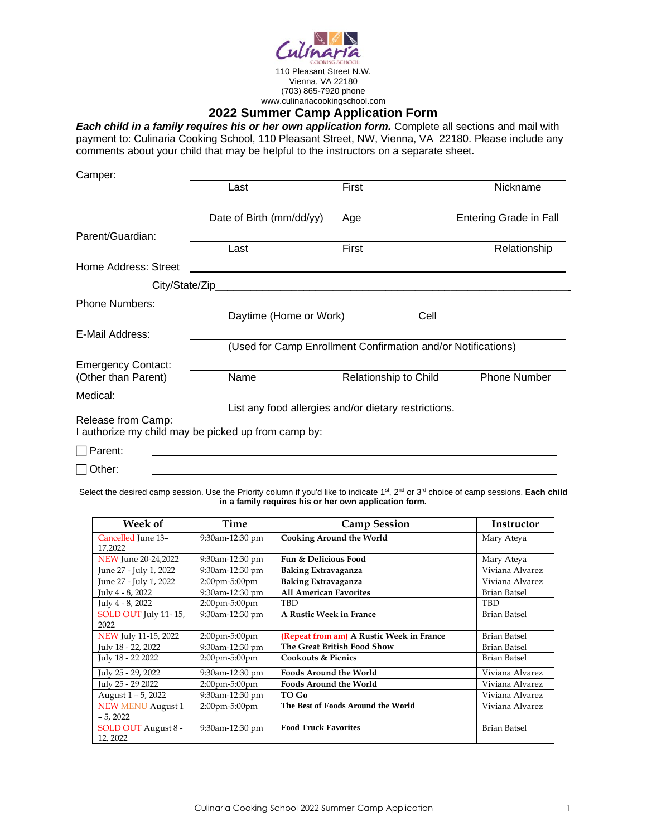

# **2022 Summer Camp Application Form**

*Each child in a family requires his or her own application form.* Complete all sections and mail with payment to: Culinaria Cooking School, 110 Pleasant Street, NW, Vienna, VA 22180. Please include any comments about your child that may be helpful to the instructors on a separate sheet.

| Camper:                   |                                                              |                       |                               |  |  |
|---------------------------|--------------------------------------------------------------|-----------------------|-------------------------------|--|--|
|                           | Last                                                         | First                 | Nickname                      |  |  |
|                           | Date of Birth (mm/dd/yy)                                     | Age                   | <b>Entering Grade in Fall</b> |  |  |
| Parent/Guardian:          |                                                              |                       |                               |  |  |
|                           | Last                                                         | First                 | Relationship                  |  |  |
| Home Address: Street      |                                                              |                       |                               |  |  |
|                           |                                                              |                       |                               |  |  |
| <b>Phone Numbers:</b>     |                                                              |                       |                               |  |  |
|                           | Daytime (Home or Work)                                       | Cell                  |                               |  |  |
| E-Mail Address:           |                                                              |                       |                               |  |  |
|                           | (Used for Camp Enrollment Confirmation and/or Notifications) |                       |                               |  |  |
| <b>Emergency Contact:</b> |                                                              |                       |                               |  |  |
| (Other than Parent)       | Name                                                         | Relationship to Child | <b>Phone Number</b>           |  |  |
| Medical:                  |                                                              |                       |                               |  |  |
|                           | List any food allergies and/or dietary restrictions.         |                       |                               |  |  |
| Release from Camp:        | I authorize my child may be picked up from camp by:          |                       |                               |  |  |
| Parent:                   |                                                              |                       |                               |  |  |

□ Other:

Select the desired camp session. Use the Priority column if you'd like to indicate 1<sup>st</sup>, 2<sup>nd</sup> or 3<sup>rd</sup> choice of camp sessions. Each child **in a family requires his or her own application form.**

| Week of                         | <b>Time</b>                       | <b>Camp Session</b>                      | <b>Instructor</b>   |
|---------------------------------|-----------------------------------|------------------------------------------|---------------------|
| Cancelled June 13-<br>17,2022   | 9:30am-12:30 pm                   | <b>Cooking Around the World</b>          | Mary Ateya          |
| NEW June 20-24,2022             | 9:30am-12:30 pm                   | Fun & Delicious Food                     | Mary Ateva          |
| June 27 - July 1, 2022          | 9:30am-12:30 pm                   | Baking Extravaganza                      | Viviana Alvarez     |
| June 27 - July 1, 2022          | $2:00 \text{pm} - 5:00 \text{pm}$ | <b>Baking Extravaganza</b>               | Viviana Alvarez     |
| July 4 - 8, 2022                | 9:30am-12:30 pm                   | <b>All American Favorites</b>            | <b>Brian Batsel</b> |
| July 4 - 8, 2022                | $2:00$ pm-5:00pm                  | <b>TBD</b>                               | TBD                 |
| SOLD OUT July 11-15,            | 9:30am-12:30 pm                   | A Rustic Week in France                  | Brian Batsel        |
| 2022                            |                                   |                                          |                     |
| NEW July 11-15, 2022            | $2:00$ pm-5:00pm                  | (Repeat from am) A Rustic Week in France | <b>Brian Batsel</b> |
| July 18 - 22, 2022              | 9:30am-12:30 pm                   | The Great British Food Show              | <b>Brian Batsel</b> |
| July 18 - 22 2022               | $2:00$ pm-5:00pm                  | <b>Cookouts &amp; Picnics</b>            | <b>Brian Batsel</b> |
| July 25 - 29, 2022              | 9:30am-12:30 pm                   | <b>Foods Around the World</b>            | Viviana Alvarez     |
| July 25 - 29 2022               | $2:00$ pm-5:00pm                  | <b>Foods Around the World</b>            | Viviana Alvarez     |
| August 1 - 5, 2022              | 9:30am-12:30 pm                   | TO Go                                    | Viviana Alvarez     |
| <b>NEW MENU August 1</b>        | $2:00$ pm-5:00pm                  | The Best of Foods Around the World       | Viviana Alvarez     |
| $-5,2022$                       |                                   |                                          |                     |
| SOLD OUT August 8 -<br>12, 2022 | 9:30am-12:30 pm                   | <b>Food Truck Favorites</b>              | <b>Brian Batsel</b> |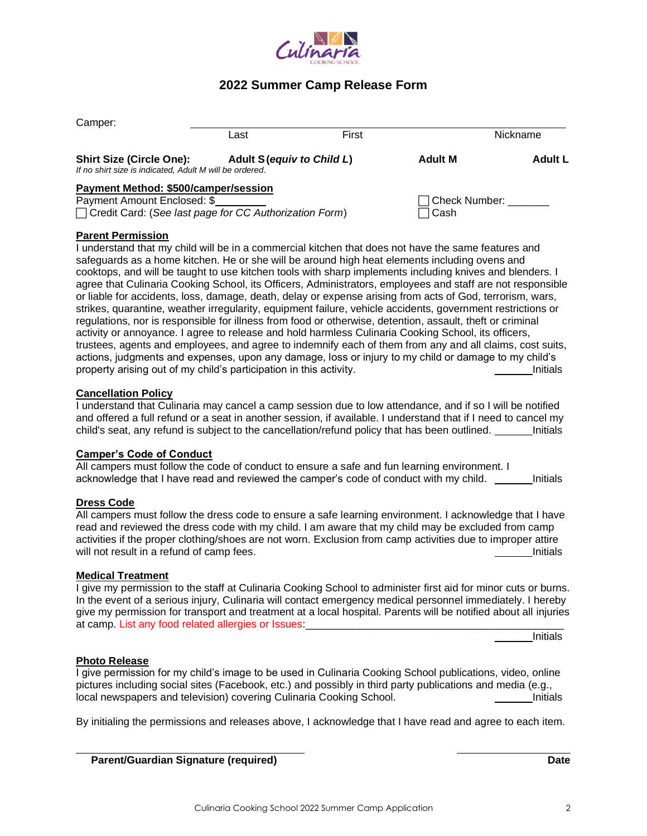

# **2022 Summer Camp Release Form**

| Camper:                                                                                    |                            |       |                      |                |
|--------------------------------------------------------------------------------------------|----------------------------|-------|----------------------|----------------|
|                                                                                            | Last                       | First |                      | Nickname       |
| <b>Shirt Size (Circle One):</b><br>If no shirt size is indicated, Adult M will be ordered. | Adult S (equiv to Child L) |       | <b>Adult M</b>       | <b>Adult L</b> |
| Payment Method: \$500/camper/session                                                       |                            |       |                      |                |
| Payment Amount Enclosed: \$                                                                |                            |       | $\Box$ Check Number: |                |
| $\Box$ Credit Card: (See last page for CC Authorization Form)                              |                            |       | Cash                 |                |

## **Parent Permission**

I understand that my child will be in a commercial kitchen that does not have the same features and safeguards as a home kitchen. He or she will be around high heat elements including ovens and cooktops, and will be taught to use kitchen tools with sharp implements including knives and blenders. I agree that Culinaria Cooking School, its Officers, Administrators, employees and staff are not responsible or liable for accidents, loss, damage, death, delay or expense arising from acts of God, terrorism, wars, strikes, quarantine, weather irregularity, equipment failure, vehicle accidents, government restrictions or regulations, nor is responsible for illness from food or otherwise, detention, assault, theft or criminal activity or annoyance. I agree to release and hold harmless Culinaria Cooking School, its officers, trustees, agents and employees, and agree to indemnify each of them from any and all claims, cost suits, actions, judgments and expenses, upon any damage, loss or injury to my child or damage to my child's property arising out of my child's participation in this activity. The example of the state of initials

### **Cancellation Policy**

I understand that Culinaria may cancel a camp session due to low attendance, and if so I will be notified and offered a full refund or a seat in another session, if available. I understand that if I need to cancel my child's seat, any refund is subject to the cancellation/refund policy that has been outlined. \_\_\_\_\_\_\_ Initials

## **Camper's Code of Conduct**

All campers must follow the code of conduct to ensure a safe and fun learning environment. I acknowledge that I have read and reviewed the camper's code of conduct with my child. Initials

### **Dress Code**

All campers must follow the dress code to ensure a safe learning environment. I acknowledge that I have read and reviewed the dress code with my child. I am aware that my child may be excluded from camp activities if the proper clothing/shoes are not worn. Exclusion from camp activities due to improper attire will not result in a refund of camp fees. Initials

### **Medical Treatment**

I give my permission to the staff at Culinaria Cooking School to administer first aid for minor cuts or burns. In the event of a serious injury, Culinaria will contact emergency medical personnel immediately. I hereby give my permission for transport and treatment at a local hospital. Parents will be notified about all injuries at camp. List any food related allergies or Issues:

Initials

## **Photo Release**

I give permission for my child's image to be used in Culinaria Cooking School publications, video, online pictures including social sites (Facebook, etc.) and possibly in third party publications and media (e.g., local newspapers and television) covering Culinaria Cooking School. **Initials** and initials

By initialing the permissions and releases above, I acknowledge that I have read and agree to each item.

| <b>Parent/Guardian Signature (required)</b> | Date |  |
|---------------------------------------------|------|--|
|                                             |      |  |